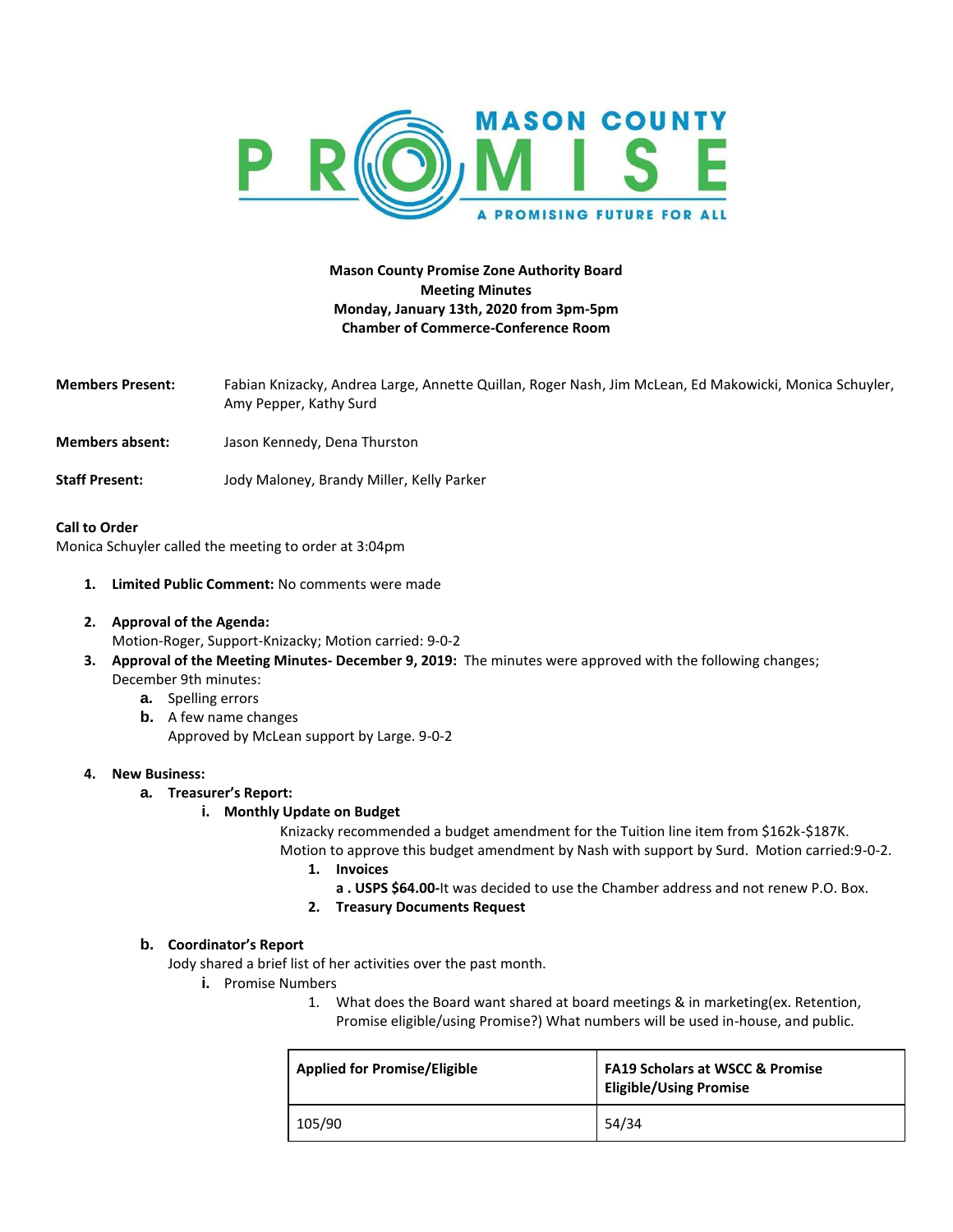

# **Mason County Promise Zone Authority Board Meeting Minutes Monday, January 13th, 2020 from 3pm-5pm Chamber of Commerce-Conference Room**

- **Members Present:** Fabian Knizacky, Andrea Large, Annette Quillan, Roger Nash, Jim McLean, Ed Makowicki, Monica Schuyler, Amy Pepper, Kathy Surd
- **Members absent:** Jason Kennedy, Dena Thurston
- **Staff Present:** Jody Maloney, Brandy Miller, Kelly Parker

#### **Call to Order**

Monica Schuyler called the meeting to order at 3:04pm

- **1. Limited Public Comment:** No comments were made
- **2. Approval of the Agenda:** 
	- Motion-Roger, Support-Knizacky; Motion carried: 9-0-2
- **3. Approval of the Meeting Minutes- December 9, 2019:** The minutes were approved with the following changes; December 9th minutes:
	- **a.** Spelling errors
	- **b.** A few name changes Approved by McLean support by Large. 9-0-2

## **4. New Business:**

#### **a. Treasurer's Report:**

#### **i. Monthly Update on Budget**

Knizacky recommended a budget amendment for the Tuition line item from \$162k-\$187K. Motion to approve this budget amendment by Nash with support by Surd. Motion carried:9-0-2.

- **1. Invoices**
	- **a . USPS \$64.00-**It was decided to use the Chamber address and not renew P.O. Box.
- **2. Treasury Documents Request**

#### **b. Coordinator's Report**

Jody shared a brief list of her activities over the past month.

- **i.** Promise Numbers
	- 1. What does the Board want shared at board meetings & in marketing(ex. Retention, Promise eligible/using Promise?) What numbers will be used in-house, and public.

| <b>Applied for Promise/Eligible</b> | <b>FA19 Scholars at WSCC &amp; Promise</b><br><b>Eligible/Using Promise</b> |
|-------------------------------------|-----------------------------------------------------------------------------|
| 105/90                              | 54/34                                                                       |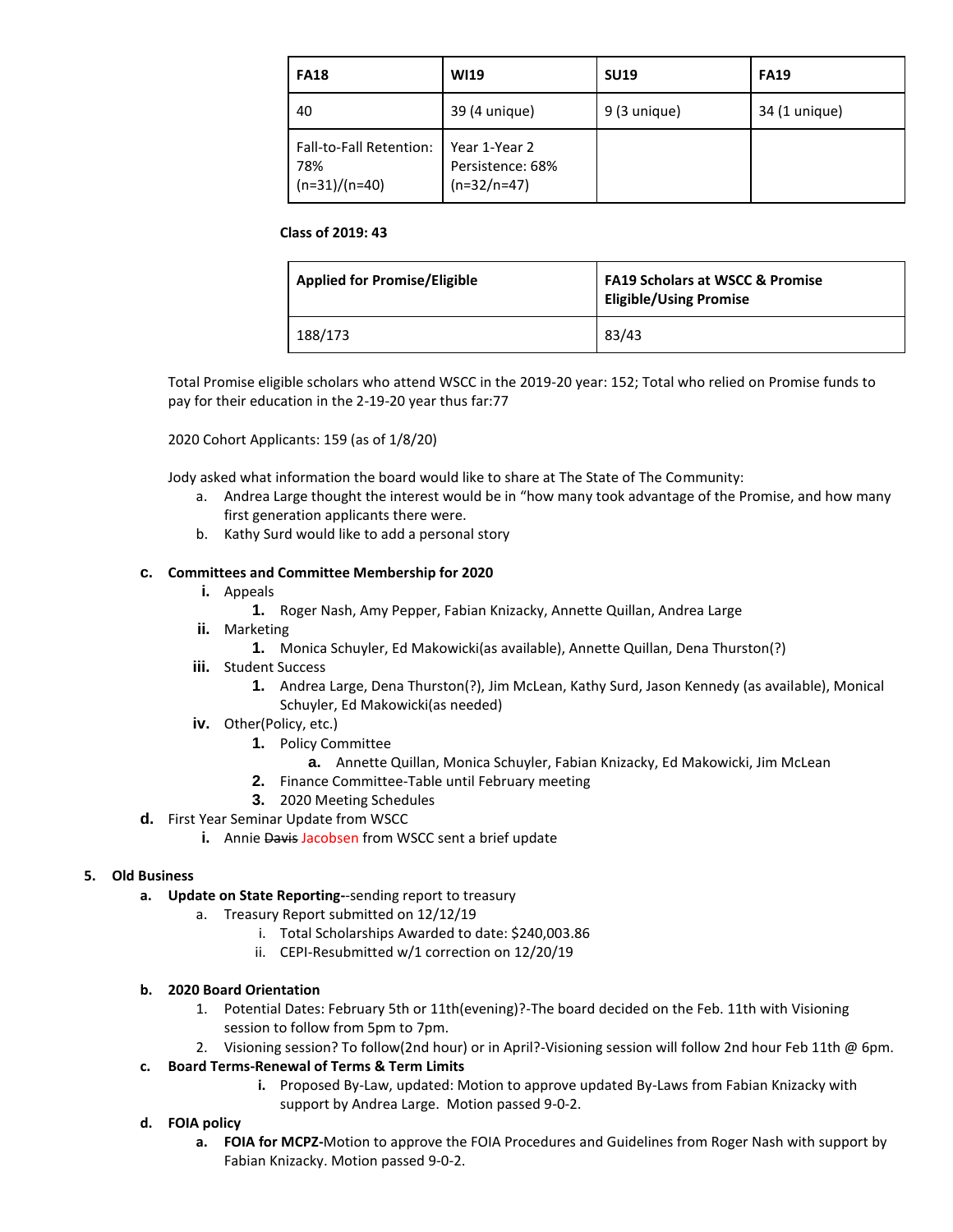| <b>FA18</b>                                       | WI19                                               | <b>SU19</b>  | <b>FA19</b>   |
|---------------------------------------------------|----------------------------------------------------|--------------|---------------|
| 40                                                | 39 (4 unique)                                      | 9 (3 unique) | 34 (1 unique) |
| Fall-to-Fall Retention:<br>78%<br>$(n=31)/(n=40)$ | Year 1-Year 2<br>Persistence: 68%<br>$(n=32/n=47)$ |              |               |

### **Class of 2019: 43**

| <b>Applied for Promise/Eligible</b> | <b>FA19 Scholars at WSCC &amp; Promise</b><br><b>Eligible/Using Promise</b> |
|-------------------------------------|-----------------------------------------------------------------------------|
| 188/173                             | 83/43                                                                       |

Total Promise eligible scholars who attend WSCC in the 2019-20 year: 152; Total who relied on Promise funds to pay for their education in the 2-19-20 year thus far:77

2020 Cohort Applicants: 159 (as of 1/8/20)

Jody asked what information the board would like to share at The State of The Community:

- a. Andrea Large thought the interest would be in "how many took advantage of the Promise, and how many first generation applicants there were.
- b. Kathy Surd would like to add a personal story

## **c. Committees and Committee Membership for 2020**

- **i.** Appeals
	- **1.** Roger Nash, Amy Pepper, Fabian Knizacky, Annette Quillan, Andrea Large
- **ii.** Marketing
	- **1.** Monica Schuyler, Ed Makowicki(as available), Annette Quillan, Dena Thurston(?)
- **iii.** Student Success
	- **1.** Andrea Large, Dena Thurston(?), Jim McLean, Kathy Surd, Jason Kennedy (as available), Monical Schuyler, Ed Makowicki(as needed)
- **iv.** Other(Policy, etc.)
	- **1.** Policy Committee
		- **a.** Annette Quillan, Monica Schuyler, Fabian Knizacky, Ed Makowicki, Jim McLean
	- **2.** Finance Committee-Table until February meeting
	- **3.** 2020 Meeting Schedules
- **d.** First Year Seminar Update from WSCC
	- **i.** Annie Davis Jacobsen from WSCC sent a brief update

#### **5. Old Business**

- **a. Update on State Reporting-**-sending report to treasury
	- a. Treasury Report submitted on 12/12/19
		- i. Total Scholarships Awarded to date: \$240,003.86
		- ii. CEPI-Resubmitted w/1 correction on 12/20/19

#### **b. 2020 Board Orientation**

- 1. Potential Dates: February 5th or 11th(evening)?-The board decided on the Feb. 11th with Visioning session to follow from 5pm to 7pm.
- 2. Visioning session? To follow(2nd hour) or in April?-Visioning session will follow 2nd hour Feb 11th @ 6pm.

## **c. Board Terms-Renewal of Terms & Term Limits**

**i.** Proposed By-Law, updated: Motion to approve updated By-Laws from Fabian Knizacky with support by Andrea Large. Motion passed 9-0-2.

## **d. FOIA policy**

**a. FOIA for MCPZ-**Motion to approve the FOIA Procedures and Guidelines from Roger Nash with support by Fabian Knizacky. Motion passed 9-0-2.